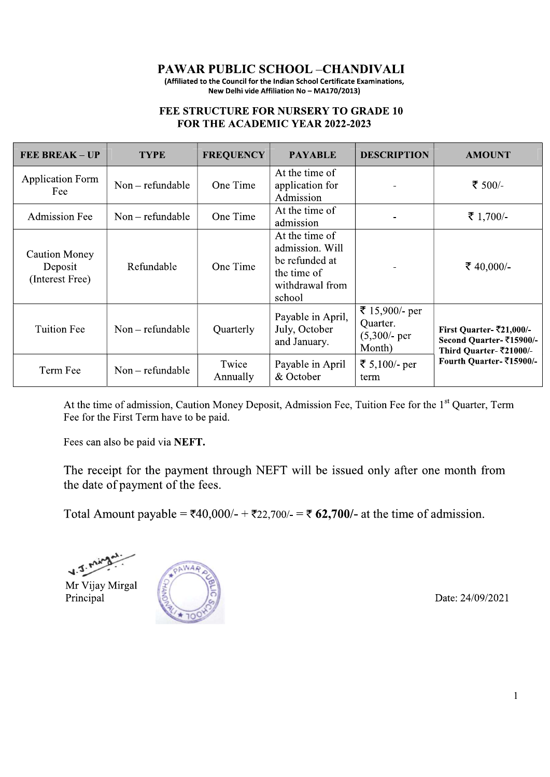**PAWAR PUBLIC SCHOOL-CHANDIVALI** 

(Affiliated to the Council for the Indian School Certificate Examinations, New Delhi vide Affiliation No - MA170/2013)

#### FEE STRUCTURE FOR NURSERY TO GRADE 10 FOR THE ACADEMIC YEAR 2022-2023

| <b>FEE BREAK - UP</b>                              | <b>TYPE</b>      | <b>FREQUENCY</b>  | <b>PAYABLE</b>                                                                                  | <b>DESCRIPTION</b>                                      | <b>AMOUNT</b>                                                                                                         |
|----------------------------------------------------|------------------|-------------------|-------------------------------------------------------------------------------------------------|---------------------------------------------------------|-----------------------------------------------------------------------------------------------------------------------|
| <b>Application Form</b><br>Fee                     | Non – refundable | One Time          | At the time of<br>application for<br>Admission                                                  |                                                         | ₹ 500/-                                                                                                               |
| <b>Admission Fee</b>                               | Non – refundable | One Time          | At the time of<br>admission                                                                     |                                                         | ₹ 1,700/-                                                                                                             |
| <b>Caution Money</b><br>Deposit<br>(Interest Free) | Refundable       | One Time          | At the time of<br>admission. Will<br>be refunded at<br>the time of<br>withdrawal from<br>school |                                                         | ₹ 40,000/-                                                                                                            |
| <b>Tuition Fee</b>                                 | Non – refundable | Quarterly         | Payable in April,<br>July, October<br>and January.                                              | ₹ 15,900/- per<br>Quarter.<br>$(5,300)$ - per<br>Month) | First Quarter- $\overline{5}21,000/-$<br>Second Quarter-₹15900/-<br>Third Quarter-₹21000/-<br>Fourth Quarter-₹15900/- |
| Term Fee                                           | Non - refundable | Twice<br>Annually | Payable in April<br>& October                                                                   | ₹ 5,100/- per<br>term                                   |                                                                                                                       |

At the time of admission, Caution Money Deposit, Admission Fee, Tuition Fee for the 1<sup>st</sup> Quarter, Term Fee for the First Term have to be paid.

Fees can also be paid via NEFT.

The receipt for the payment through NEFT will be issued only after one month from the date of payment of the fees.

Total Amount payable = ₹40,000/- + ₹22,700/- = ₹ 62,700/- at the time of admission.

Mr Vijay Mirgal Principal



Date: 24/09/2021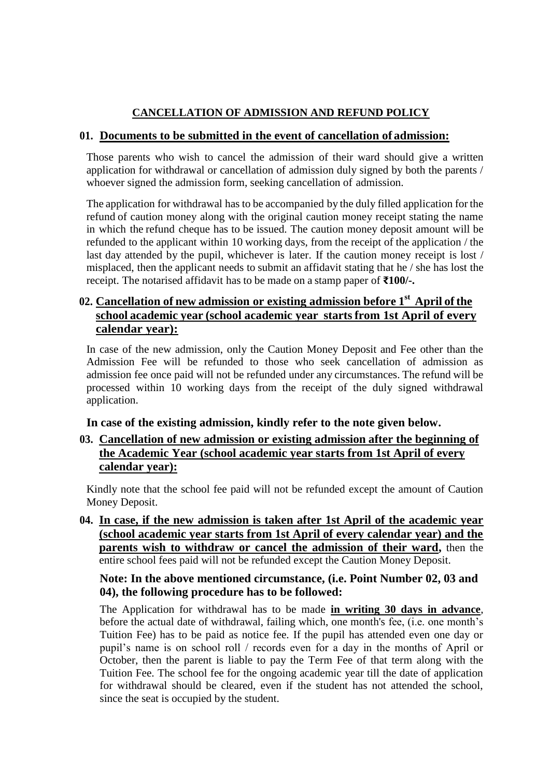## **CANCELLATION OF ADMISSION AND REFUND POLICY**

#### **01. Documents to be submitted in the event of cancellation of admission:**

Those parents who wish to cancel the admission of their ward should give a written application for withdrawal or cancellation of admission duly signed by both the parents / whoever signed the admission form, seeking cancellation of admission.

The application for withdrawal has to be accompanied by the duly filled application for the refund of caution money along with the original caution money receipt stating the name in which the refund cheque has to be issued. The caution money deposit amount will be refunded to the applicant within 10 working days, from the receipt of the application / the last day attended by the pupil, whichever is later. If the caution money receipt is lost / misplaced, then the applicant needs to submit an affidavit stating that he / she has lost the receipt. The notarised affidavit has to be made on a stamp paper of **₹100/-.**

## **02. Cancellation of new admission or existing admission before 1 st April of the school academic year (school academic year starts from 1st April of every calendar year):**

In case of the new admission, only the Caution Money Deposit and Fee other than the Admission Fee will be refunded to those who seek cancellation of admission as admission fee once paid will not be refunded under any circumstances. The refund will be processed within 10 working days from the receipt of the duly signed withdrawal application.

#### **In case of the existing admission, kindly refer to the note given below.**

### **03. Cancellation of new admission or existing admission after the beginning of the Academic Year (school academic year starts from 1st April of every calendar year):**

Kindly note that the school fee paid will not be refunded except the amount of Caution Money Deposit.

**04. In case, if the new admission is taken after 1st April of the academic year (school academic year starts from 1st April of every calendar year) and the parents wish to withdraw or cancel the admission of their ward,** then the entire school fees paid will not be refunded except the Caution Money Deposit.

#### **Note: In the above mentioned circumstance, (i.e. Point Number 02, 03 and 04), the following procedure has to be followed:**

The Application for withdrawal has to be made **in writing 30 days in advance**, before the actual date of withdrawal, failing which, one month's fee, (i.e. one month's Tuition Fee) has to be paid as notice fee. If the pupil has attended even one day or pupil's name is on school roll / records even for a day in the months of April or October, then the parent is liable to pay the Term Fee of that term along with the Tuition Fee. The school fee for the ongoing academic year till the date of application for withdrawal should be cleared, even if the student has not attended the school, since the seat is occupied by the student.